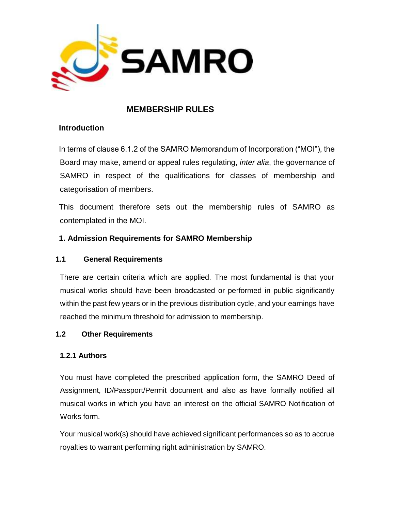

## **MEMBERSHIP RULES**

### **Introduction**

In terms of clause 6.1.2 of the SAMRO Memorandum of Incorporation ("MOI"), the Board may make, amend or appeal rules regulating, *inter alia*, the governance of SAMRO in respect of the qualifications for classes of membership and categorisation of members.

This document therefore sets out the membership rules of SAMRO as contemplated in the MOI.

## **1. Admission Requirements for SAMRO Membership**

### **1.1 General Requirements**

There are certain criteria which are applied. The most fundamental is that your musical works should have been broadcasted or performed in public significantly within the past few years or in the previous distribution cycle, and your earnings have reached the minimum threshold for admission to membership.

### **1.2 Other Requirements**

### **1.2.1 Authors**

You must have completed the prescribed application form, the SAMRO Deed of Assignment, ID/Passport/Permit document and also as have formally notified all musical works in which you have an interest on the official SAMRO Notification of Works form.

Your musical work(s) should have achieved significant performances so as to accrue royalties to warrant performing right administration by SAMRO.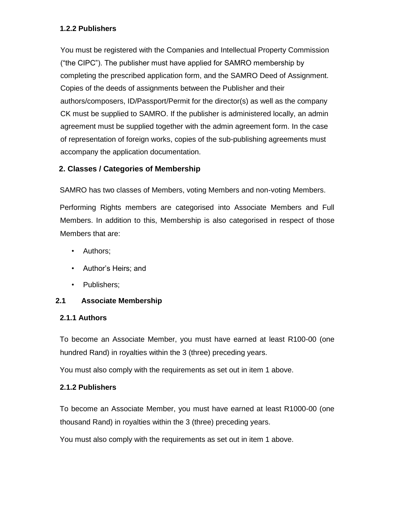### **1.2.2 Publishers**

You must be registered with the Companies and Intellectual Property Commission ("the CIPC"). The publisher must have applied for SAMRO membership by completing the prescribed application form, and the SAMRO Deed of Assignment. Copies of the deeds of assignments between the Publisher and their authors/composers, ID/Passport/Permit for the director(s) as well as the company CK must be supplied to SAMRO. If the publisher is administered locally, an admin agreement must be supplied together with the admin agreement form. In the case of representation of foreign works, copies of the sub-publishing agreements must accompany the application documentation.

### **2. Classes / Categories of Membership**

SAMRO has two classes of Members, voting Members and non-voting Members.

Performing Rights members are categorised into Associate Members and Full Members. In addition to this, Membership is also categorised in respect of those Members that are:

- Authors;
- Author's Heirs; and
- Publishers;

### **2.1 Associate Membership**

### **2.1.1 Authors**

To become an Associate Member, you must have earned at least R100-00 (one hundred Rand) in royalties within the 3 (three) preceding years.

You must also comply with the requirements as set out in item 1 above.

### **2.1.2 Publishers**

To become an Associate Member, you must have earned at least R1000-00 (one thousand Rand) in royalties within the 3 (three) preceding years.

You must also comply with the requirements as set out in item 1 above.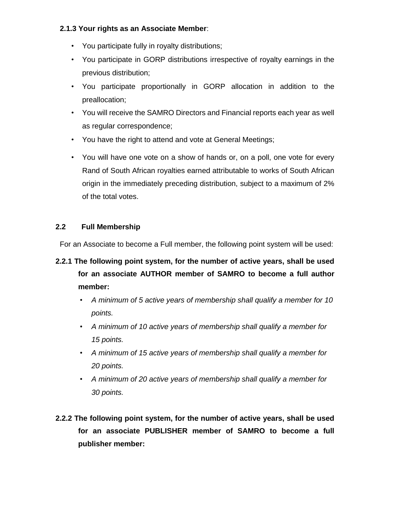### **2.1.3 Your rights as an Associate Member**:

- You participate fully in royalty distributions;
- You participate in GORP distributions irrespective of royalty earnings in the previous distribution;
- You participate proportionally in GORP allocation in addition to the preallocation;
- You will receive the SAMRO Directors and Financial reports each year as well as regular correspondence;
- You have the right to attend and vote at General Meetings;
- You will have one vote on a show of hands or, on a poll, one vote for every Rand of South African royalties earned attributable to works of South African origin in the immediately preceding distribution, subject to a maximum of 2% of the total votes.

### **2.2 Full Membership**

For an Associate to become a Full member, the following point system will be used:

## **2.2.1 The following point system, for the number of active years, shall be used for an associate AUTHOR member of SAMRO to become a full author member:**

- *A minimum of 5 active years of membership shall qualify a member for 10 points.*
- *A minimum of 10 active years of membership shall qualify a member for 15 points.*
- *A minimum of 15 active years of membership shall qualify a member for 20 points.*
- *A minimum of 20 active years of membership shall qualify a member for 30 points.*
- **2.2.2 The following point system, for the number of active years, shall be used for an associate PUBLISHER member of SAMRO to become a full publisher member:**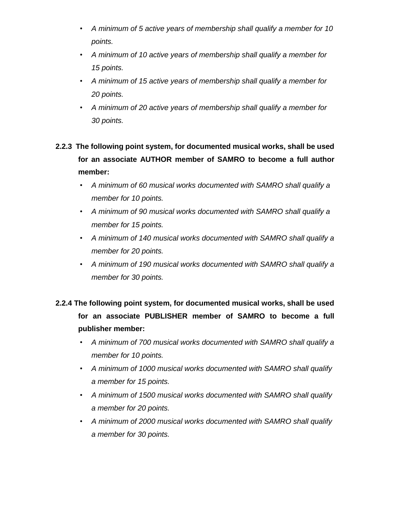- *A minimum of 5 active years of membership shall qualify a member for 10 points.*
- *A minimum of 10 active years of membership shall qualify a member for 15 points.*
- *A minimum of 15 active years of membership shall qualify a member for 20 points.*
- *A minimum of 20 active years of membership shall qualify a member for 30 points.*

# **2.2.3 The following point system, for documented musical works, shall be used for an associate AUTHOR member of SAMRO to become a full author member:**

- *A minimum of 60 musical works documented with SAMRO shall qualify a member for 10 points.*
- *A minimum of 90 musical works documented with SAMRO shall qualify a member for 15 points.*
- *A minimum of 140 musical works documented with SAMRO shall qualify a member for 20 points.*
- *A minimum of 190 musical works documented with SAMRO shall qualify a member for 30 points.*

# **2.2.4 The following point system, for documented musical works, shall be used for an associate PUBLISHER member of SAMRO to become a full publisher member:**

- *A minimum of 700 musical works documented with SAMRO shall qualify a member for 10 points.*
- *A minimum of 1000 musical works documented with SAMRO shall qualify a member for 15 points.*
- *A minimum of 1500 musical works documented with SAMRO shall qualify a member for 20 points.*
- *A minimum of 2000 musical works documented with SAMRO shall qualify a member for 30 points.*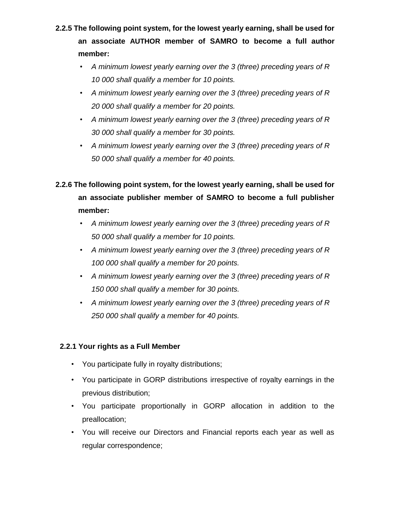# **2.2.5 The following point system, for the lowest yearly earning, shall be used for an associate AUTHOR member of SAMRO to become a full author member:**

- *A minimum lowest yearly earning over the 3 (three) preceding years of R 10 000 shall qualify a member for 10 points.*
- *A minimum lowest yearly earning over the 3 (three) preceding years of R 20 000 shall qualify a member for 20 points.*
- *A minimum lowest yearly earning over the 3 (three) preceding years of R 30 000 shall qualify a member for 30 points.*
- *A minimum lowest yearly earning over the 3 (three) preceding years of R 50 000 shall qualify a member for 40 points.*

# **2.2.6 The following point system, for the lowest yearly earning, shall be used for an associate publisher member of SAMRO to become a full publisher member:**

- *A minimum lowest yearly earning over the 3 (three) preceding years of R 50 000 shall qualify a member for 10 points.*
- *A minimum lowest yearly earning over the 3 (three) preceding years of R 100 000 shall qualify a member for 20 points.*
- *A minimum lowest yearly earning over the 3 (three) preceding years of R 150 000 shall qualify a member for 30 points.*
- *A minimum lowest yearly earning over the 3 (three) preceding years of R 250 000 shall qualify a member for 40 points.*

## **2.2.1 Your rights as a Full Member**

- You participate fully in royalty distributions;
- You participate in GORP distributions irrespective of royalty earnings in the previous distribution;
- You participate proportionally in GORP allocation in addition to the preallocation;
- You will receive our Directors and Financial reports each year as well as regular correspondence;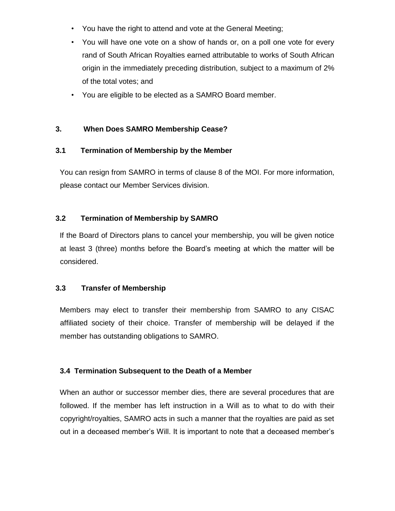- You have the right to attend and vote at the General Meeting;
- You will have one vote on a show of hands or, on a poll one vote for every rand of South African Royalties earned attributable to works of South African origin in the immediately preceding distribution, subject to a maximum of 2% of the total votes; and
- You are eligible to be elected as a SAMRO Board member.

#### **3. When Does SAMRO Membership Cease?**

#### **3.1 Termination of Membership by the Member**

You can resign from SAMRO in terms of clause 8 of the MOI. For more information, please contact our Member Services division.

### **3.2 Termination of Membership by SAMRO**

If the Board of Directors plans to cancel your membership, you will be given notice at least 3 (three) months before the Board's meeting at which the matter will be considered.

#### **3.3 Transfer of Membership**

Members may elect to transfer their membership from SAMRO to any CISAC affiliated society of their choice. Transfer of membership will be delayed if the member has outstanding obligations to SAMRO.

### **3.4 Termination Subsequent to the Death of a Member**

When an author or successor member dies, there are several procedures that are followed. If the member has left instruction in a Will as to what to do with their copyright/royalties, SAMRO acts in such a manner that the royalties are paid as set out in a deceased member's Will. It is important to note that a deceased member's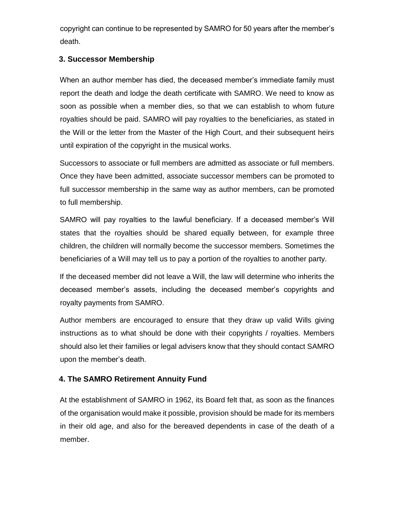copyright can continue to be represented by SAMRO for 50 years after the member's death.

## **3. Successor Membership**

When an author member has died, the deceased member's immediate family must report the death and lodge the death certificate with SAMRO. We need to know as soon as possible when a member dies, so that we can establish to whom future royalties should be paid. SAMRO will pay royalties to the beneficiaries, as stated in the Will or the letter from the Master of the High Court, and their subsequent heirs until expiration of the copyright in the musical works.

Successors to associate or full members are admitted as associate or full members. Once they have been admitted, associate successor members can be promoted to full successor membership in the same way as author members, can be promoted to full membership.

SAMRO will pay royalties to the lawful beneficiary. If a deceased member's Will states that the royalties should be shared equally between, for example three children, the children will normally become the successor members. Sometimes the beneficiaries of a Will may tell us to pay a portion of the royalties to another party.

If the deceased member did not leave a Will, the law will determine who inherits the deceased member's assets, including the deceased member's copyrights and royalty payments from SAMRO.

Author members are encouraged to ensure that they draw up valid Wills giving instructions as to what should be done with their copyrights / royalties. Members should also let their families or legal advisers know that they should contact SAMRO upon the member's death.

## **4. The SAMRO Retirement Annuity Fund**

At the establishment of SAMRO in 1962, its Board felt that, as soon as the finances of the organisation would make it possible, provision should be made for its members in their old age, and also for the bereaved dependents in case of the death of a member.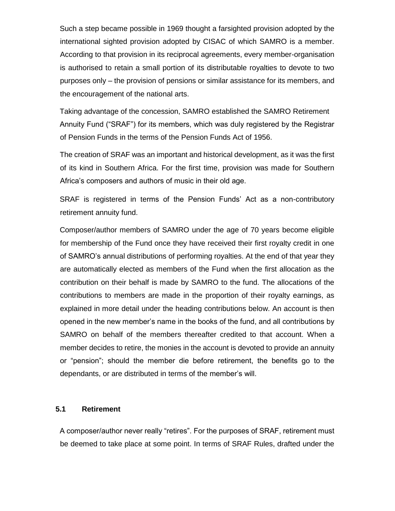Such a step became possible in 1969 thought a farsighted provision adopted by the international sighted provision adopted by CISAC of which SAMRO is a member. According to that provision in its reciprocal agreements, every member-organisation is authorised to retain a small portion of its distributable royalties to devote to two purposes only – the provision of pensions or similar assistance for its members, and the encouragement of the national arts.

Taking advantage of the concession, SAMRO established the SAMRO Retirement Annuity Fund ("SRAF") for its members, which was duly registered by the Registrar of Pension Funds in the terms of the Pension Funds Act of 1956.

The creation of SRAF was an important and historical development, as it was the first of its kind in Southern Africa. For the first time, provision was made for Southern Africa's composers and authors of music in their old age.

SRAF is registered in terms of the Pension Funds' Act as a non-contributory retirement annuity fund.

Composer/author members of SAMRO under the age of 70 years become eligible for membership of the Fund once they have received their first royalty credit in one of SAMRO's annual distributions of performing royalties. At the end of that year they are automatically elected as members of the Fund when the first allocation as the contribution on their behalf is made by SAMRO to the fund. The allocations of the contributions to members are made in the proportion of their royalty earnings, as explained in more detail under the heading contributions below. An account is then opened in the new member's name in the books of the fund, and all contributions by SAMRO on behalf of the members thereafter credited to that account. When a member decides to retire, the monies in the account is devoted to provide an annuity or "pension"; should the member die before retirement, the benefits go to the dependants, or are distributed in terms of the member's will.

#### **5.1 Retirement**

A composer/author never really "retires". For the purposes of SRAF, retirement must be deemed to take place at some point. In terms of SRAF Rules, drafted under the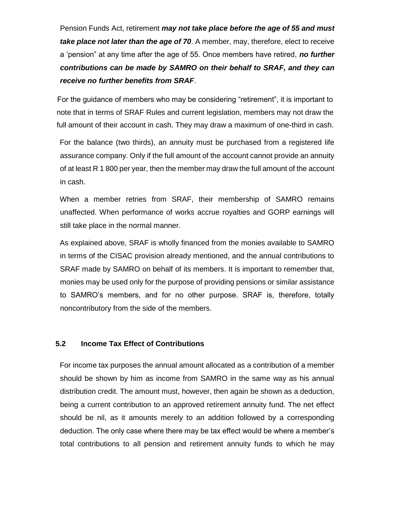Pension Funds Act, retirement *may not take place before the age of 55 and must take place not later than the age of 70*. A member, may, therefore, elect to receive a 'pension" at any time after the age of 55. Once members have retired, *no further contributions can be made by SAMRO on their behalf to SRAF, and they can receive no further benefits from SRAF*.

For the guidance of members who may be considering "retirement", it is important to note that in terms of SRAF Rules and current legislation, members may not draw the full amount of their account in cash. They may draw a maximum of one-third in cash.

For the balance (two thirds), an annuity must be purchased from a registered life assurance company. Only if the full amount of the account cannot provide an annuity of at least R 1 800 per year, then the member may draw the full amount of the account in cash.

When a member retries from SRAF, their membership of SAMRO remains unaffected. When performance of works accrue royalties and GORP earnings will still take place in the normal manner.

As explained above, SRAF is wholly financed from the monies available to SAMRO in terms of the CISAC provision already mentioned, and the annual contributions to SRAF made by SAMRO on behalf of its members. It is important to remember that, monies may be used only for the purpose of providing pensions or similar assistance to SAMRO's members, and for no other purpose. SRAF is, therefore, totally noncontributory from the side of the members.

#### **5.2 Income Tax Effect of Contributions**

For income tax purposes the annual amount allocated as a contribution of a member should be shown by him as income from SAMRO in the same way as his annual distribution credit. The amount must, however, then again be shown as a deduction, being a current contribution to an approved retirement annuity fund. The net effect should be nil, as it amounts merely to an addition followed by a corresponding deduction. The only case where there may be tax effect would be where a member's total contributions to all pension and retirement annuity funds to which he may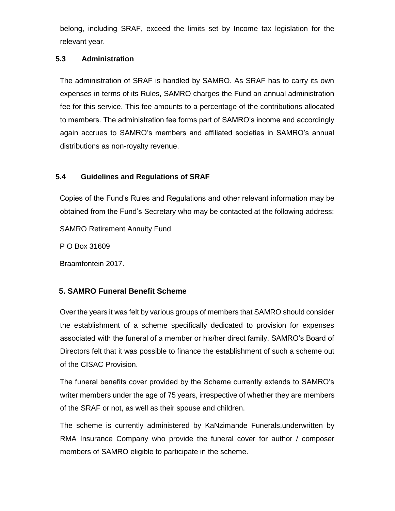belong, including SRAF, exceed the limits set by Income tax legislation for the relevant year.

### **5.3 Administration**

The administration of SRAF is handled by SAMRO. As SRAF has to carry its own expenses in terms of its Rules, SAMRO charges the Fund an annual administration fee for this service. This fee amounts to a percentage of the contributions allocated to members. The administration fee forms part of SAMRO's income and accordingly again accrues to SAMRO's members and affiliated societies in SAMRO's annual distributions as non-royalty revenue.

### **5.4 Guidelines and Regulations of SRAF**

Copies of the Fund's Rules and Regulations and other relevant information may be obtained from the Fund's Secretary who may be contacted at the following address:

SAMRO Retirement Annuity Fund

P O Box 31609

Braamfontein 2017.

## **5. SAMRO Funeral Benefit Scheme**

Over the years it was felt by various groups of members that SAMRO should consider the establishment of a scheme specifically dedicated to provision for expenses associated with the funeral of a member or his/her direct family. SAMRO's Board of Directors felt that it was possible to finance the establishment of such a scheme out of the CISAC Provision.

The funeral benefits cover provided by the Scheme currently extends to SAMRO's writer members under the age of 75 years, irrespective of whether they are members of the SRAF or not, as well as their spouse and children.

The scheme is currently administered by KaNzimande Funerals,underwritten by RMA Insurance Company who provide the funeral cover for author / composer members of SAMRO eligible to participate in the scheme.